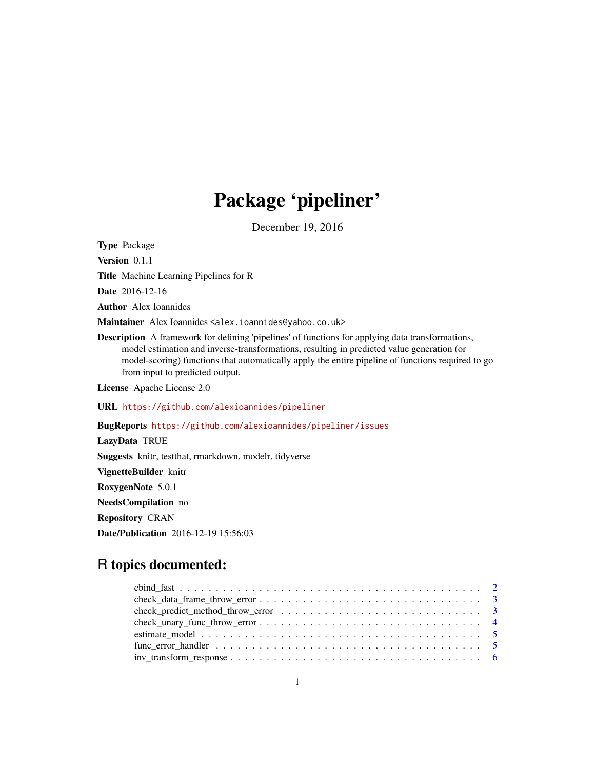## Package 'pipeliner'

December 19, 2016

Type Package Version 0.1.1 Title Machine Learning Pipelines for R Date 2016-12-16 Author Alex Ioannides Maintainer Alex Ioannides <alex.ioannides@yahoo.co.uk> Description A framework for defining 'pipelines' of functions for applying data transformations, model estimation and inverse-transformations, resulting in predicted value generation (or model-scoring) functions that automatically apply the entire pipeline of functions required to go from input to predicted output. License Apache License 2.0 URL <https://github.com/alexioannides/pipeliner> BugReports <https://github.com/alexioannides/pipeliner/issues> LazyData TRUE Suggests knitr, testthat, rmarkdown, modelr, tidyverse

VignetteBuilder knitr RoxygenNote 5.0.1

NeedsCompilation no

Repository CRAN

Date/Publication 2016-12-19 15:56:03

## R topics documented:

| $check\_data\_frame\_throw\_error \dots \dots \dots \dots \dots \dots \dots \dots \dots \dots \dots \dots$ |
|------------------------------------------------------------------------------------------------------------|
|                                                                                                            |
|                                                                                                            |
|                                                                                                            |
|                                                                                                            |
|                                                                                                            |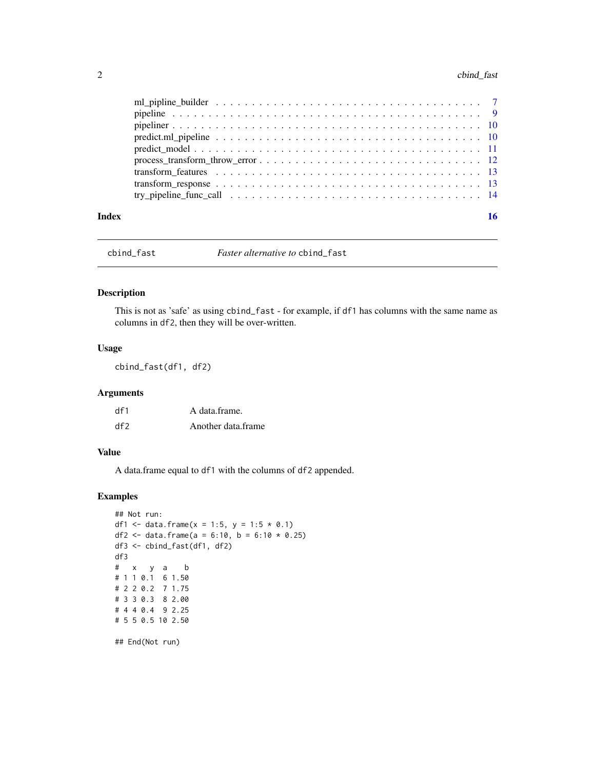### <span id="page-1-0"></span>2 cbind\_fast

| Index |  |
|-------|--|
|       |  |
|       |  |
|       |  |
|       |  |
|       |  |
|       |  |
|       |  |
|       |  |
|       |  |

cbind\_fast *Faster alternative to* cbind\_fast

#### Description

This is not as 'safe' as using cbind\_fast - for example, if df1 has columns with the same name as columns in df2, then they will be over-written.

#### Usage

cbind\_fast(df1, df2)

#### Arguments

| df1 | A data frame.      |
|-----|--------------------|
| df  | Another data frame |

#### Value

A data.frame equal to df1 with the columns of df2 appended.

#### Examples

```
## Not run:
df1 <- data.frame(x = 1:5, y = 1:5 * 0.1)
df2 <- data.frame(a = 6:10, b = 6:10 * 0.25)
df3 <- cbind_fast(df1, df2)
df3
# x y a b
# 1 1 0.1 6 1.50
# 2 2 0.2 7 1.75
# 3 3 0.3 8 2.00
# 4 4 0.4 9 2.25
# 5 5 0.5 10 2.50
```
## End(Not run)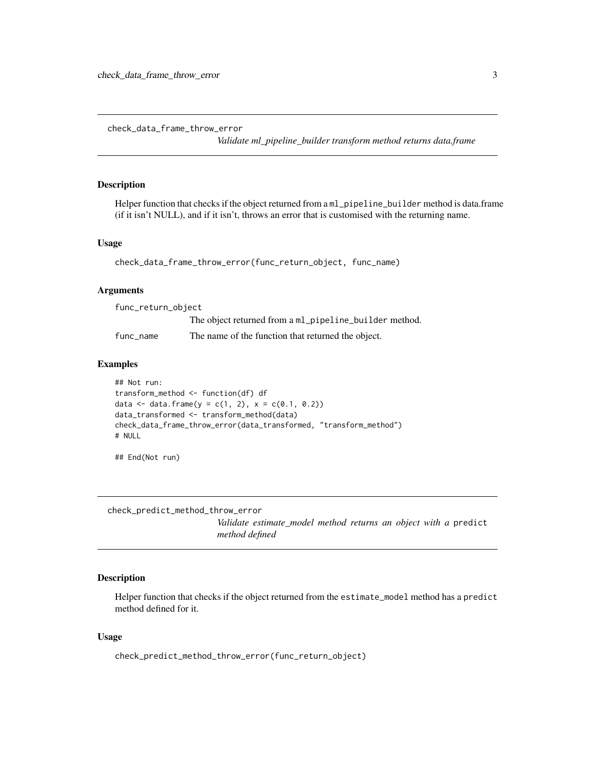<span id="page-2-0"></span>check\_data\_frame\_throw\_error

*Validate ml\_pipeline\_builder transform method returns data.frame*

#### Description

Helper function that checks if the object returned from a ml\_pipeline\_builder method is data.frame (if it isn't NULL), and if it isn't, throws an error that is customised with the returning name.

#### Usage

```
check_data_frame_throw_error(func_return_object, func_name)
```
#### Arguments

| func_return_object |                                                        |
|--------------------|--------------------------------------------------------|
|                    | The object returned from a ml_pipeline_builder method. |
| func name          | The name of the function that returned the object.     |

#### Examples

```
## Not run:
transform_method <- function(df) df
data <- data.frame(y = c(1, 2), x = c(0.1, 0.2))
data_transformed <- transform_method(data)
check_data_frame_throw_error(data_transformed, "transform_method")
# NULL
```
## End(Not run)

check\_predict\_method\_throw\_error

*Validate estimate\_model method returns an object with a* predict *method defined*

#### Description

Helper function that checks if the object returned from the estimate\_model method has a predict method defined for it.

#### Usage

check\_predict\_method\_throw\_error(func\_return\_object)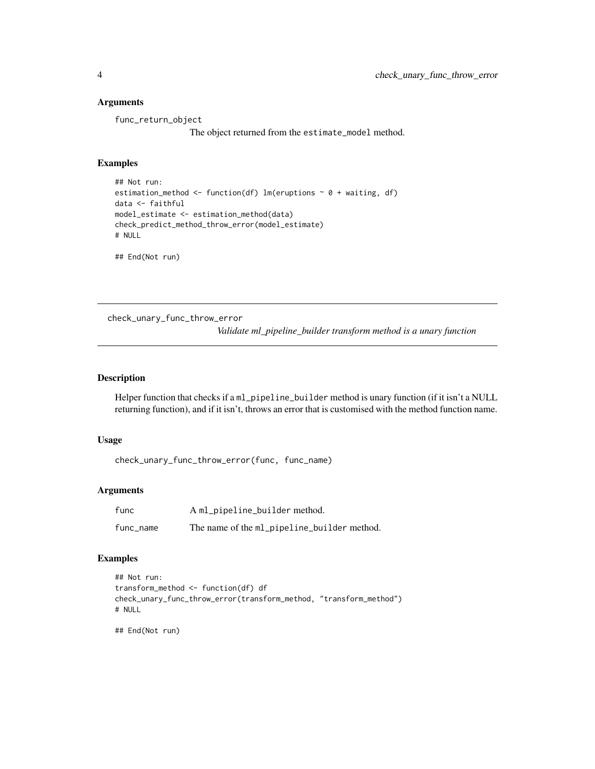#### <span id="page-3-0"></span>Arguments

func\_return\_object

The object returned from the estimate\_model method.

#### Examples

```
## Not run:
estimation_method <- function(df) lm(eruptions \sim 0 + waiting, df)
data <- faithful
model_estimate <- estimation_method(data)
check_predict_method_throw_error(model_estimate)
# NULL
```
## End(Not run)

check\_unary\_func\_throw\_error *Validate ml\_pipeline\_builder transform method is a unary function*

#### Description

Helper function that checks if a ml\_pipeline\_builder method is unary function (if it isn't a NULL returning function), and if it isn't, throws an error that is customised with the method function name.

#### Usage

```
check_unary_func_throw_error(func, func_name)
```
#### Arguments

| func      | A ml_pipeline_builder method.               |
|-----------|---------------------------------------------|
| func_name | The name of the ml_pipeline_builder method. |

#### Examples

```
## Not run:
transform_method <- function(df) df
check_unary_func_throw_error(transform_method, "transform_method")
# NULL
```
## End(Not run)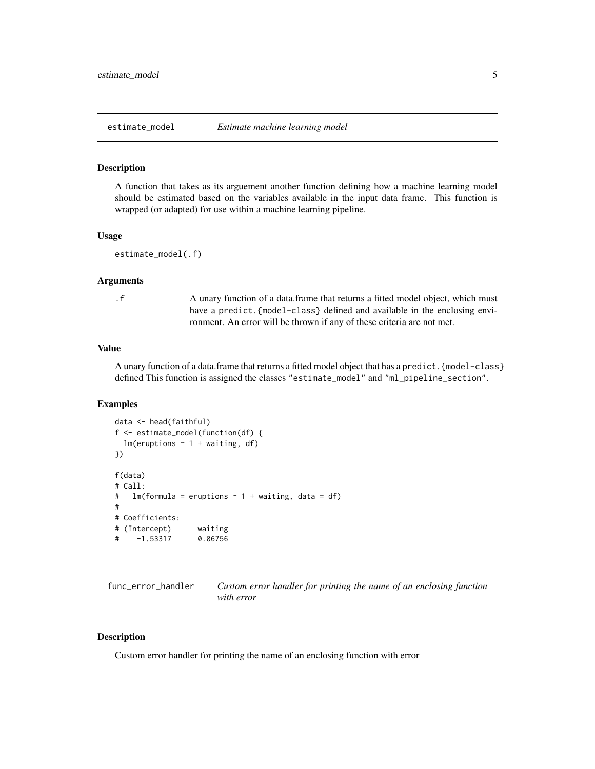#### <span id="page-4-1"></span><span id="page-4-0"></span>**Description**

A function that takes as its arguement another function defining how a machine learning model should be estimated based on the variables available in the input data frame. This function is wrapped (or adapted) for use within a machine learning pipeline.

#### Usage

```
estimate_model(.f)
```
#### Arguments

.f A unary function of a data.frame that returns a fitted model object, which must have a predict. {model-class} defined and available in the enclosing environment. An error will be thrown if any of these criteria are not met.

#### Value

A unary function of a data.frame that returns a fitted model object that has a predict.{model-class} defined This function is assigned the classes "estimate\_model" and "ml\_pipeline\_section".

#### Examples

```
data <- head(faithful)
f <- estimate_model(function(df) {
 lm(eruptions \sim 1 + waiting, df)
})
f(data)
# Call:
# lm(formula = eruptions ~ 1 + waiting, data = df)#
# Coefficients:
# (Intercept) waiting
# -1.53317 0.06756
```
func\_error\_handler *Custom error handler for printing the name of an enclosing function with error*

#### **Description**

Custom error handler for printing the name of an enclosing function with error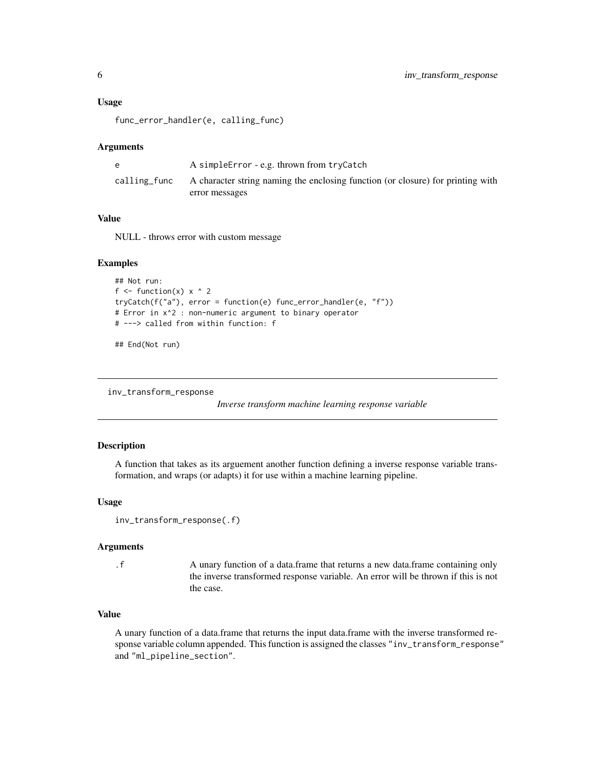#### <span id="page-5-0"></span>Usage

func\_error\_handler(e, calling\_func)

#### Arguments

|              | A simple Error - e.g. thrown from tryCatch                                      |
|--------------|---------------------------------------------------------------------------------|
| calling_func | A character string naming the enclosing function (or closure) for printing with |
|              | error messages                                                                  |

#### Value

NULL - throws error with custom message

#### Examples

```
## Not run:
f \le function(x) x \land 2
tryCatch(f("a"), error = function(e) func_error_handler(e, "f"))
# Error in x^2 : non-numeric argument to binary operator
# ---> called from within function: f
```
## End(Not run)

<span id="page-5-1"></span>inv\_transform\_response

*Inverse transform machine learning response variable*

#### Description

A function that takes as its arguement another function defining a inverse response variable transformation, and wraps (or adapts) it for use within a machine learning pipeline.

#### Usage

```
inv_transform_response(.f)
```
#### Arguments

.f A unary function of a data.frame that returns a new data.frame containing only the inverse transformed response variable. An error will be thrown if this is not the case.

#### Value

A unary function of a data.frame that returns the input data.frame with the inverse transformed response variable column appended. This function is assigned the classes "inv\_transform\_response" and "ml\_pipeline\_section".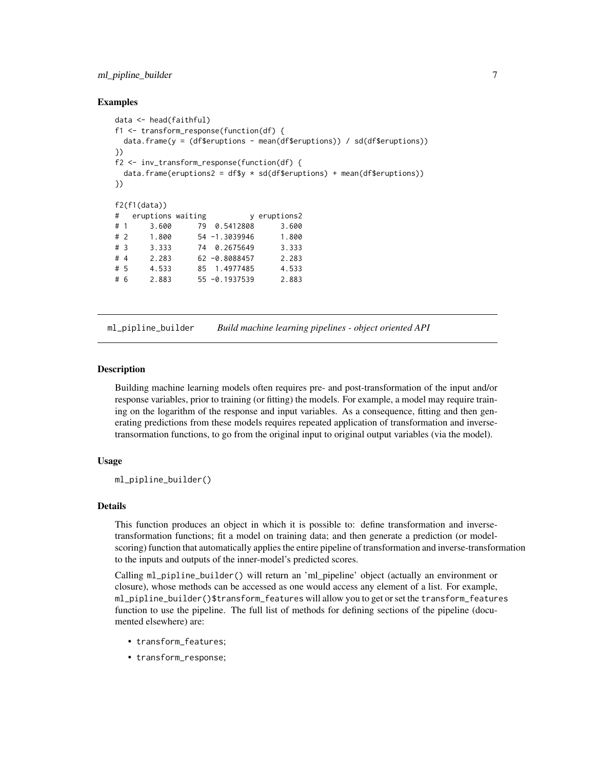#### <span id="page-6-0"></span>ml\_pipline\_builder 7

#### Examples

```
data <- head(faithful)
f1 <- transform_response(function(df) {
 data.frame(y = (df$eruptions - mean(df$eruptions)) / sd(df$eruptions))
})
f2 <- inv_transform_response(function(df) {
 data.frame(eruptions2 = df$y * sd(df$eruptions) + mean(df$eruptions))
})
f2(f1(data))
# eruptions waiting y eruptions2
# 1 3.600 79 0.5412808 3.600
# 2 1.800 54 -1.3039946 1.800
# 3 3.333 74 0.2675649 3.333
# 4 2.283 62 -0.8088457 2.283
# 5 4.533 85 1.4977485 4.533
# 6 2.883 55 -0.1937539 2.883
```
ml\_pipline\_builder *Build machine learning pipelines - object oriented API*

#### Description

Building machine learning models often requires pre- and post-transformation of the input and/or response variables, prior to training (or fitting) the models. For example, a model may require training on the logarithm of the response and input variables. As a consequence, fitting and then generating predictions from these models requires repeated application of transformation and inversetransormation functions, to go from the original input to original output variables (via the model).

#### Usage

ml\_pipline\_builder()

#### Details

This function produces an object in which it is possible to: define transformation and inversetransformation functions; fit a model on training data; and then generate a prediction (or modelscoring) function that automatically applies the entire pipeline of transformation and inverse-transformation to the inputs and outputs of the inner-model's predicted scores.

Calling ml\_pipline\_builder() will return an 'ml\_pipeline' object (actually an environment or closure), whose methods can be accessed as one would access any element of a list. For example, ml\_pipline\_builder()\$transform\_features will allow you to get or set the transform\_features function to use the pipeline. The full list of methods for defining sections of the pipeline (documented elsewhere) are:

- transform\_features;
- transform\_response;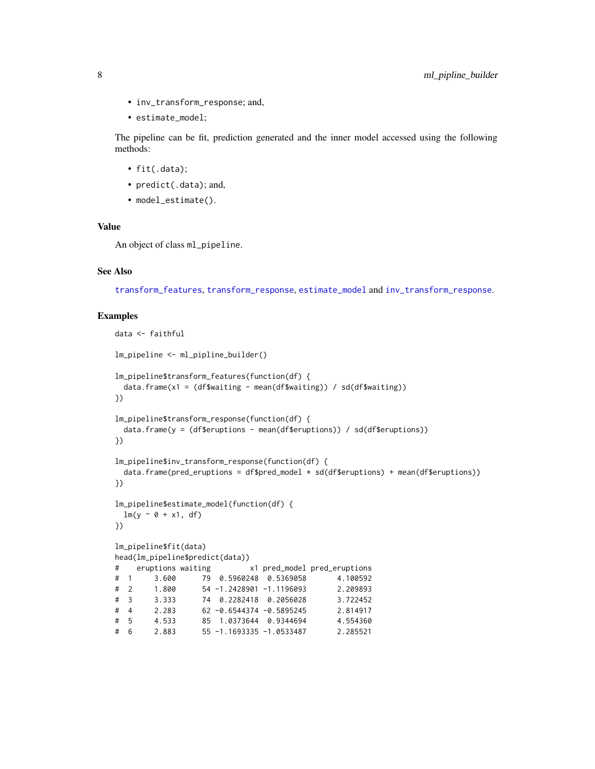- <span id="page-7-0"></span>• inv\_transform\_response; and,
- estimate\_model;

The pipeline can be fit, prediction generated and the inner model accessed using the following methods:

- fit(.data);
- predict(.data); and,
- model\_estimate().

#### Value

An object of class ml\_pipeline.

#### See Also

[transform\\_features](#page-12-1), [transform\\_response](#page-12-2), [estimate\\_model](#page-4-1) and [inv\\_transform\\_response](#page-5-1).

```
data <- faithful
lm_pipeline <- ml_pipline_builder()
lm_pipeline$transform_features(function(df) {
 data.frame(x1 = (df$waiting - mean(df$waiting)) / sd(df$waiting))
})
lm_pipeline$transform_response(function(df) {
 data.frame(y = (df$eruptions - mean(df$eruptions)) / sd(df$eruptions))
})
lm_pipeline$inv_transform_response(function(df) {
 data.frame(pred_eruptions = df$pred_model * sd(df$eruptions) + mean(df$eruptions))
})
lm_pipeline$estimate_model(function(df) {
 lm(y \sim \emptyset + x1, df)})
lm_pipeline$fit(data)
head(lm_pipeline$predict(data))
# eruptions waiting x1 pred_model pred_eruptions
# 1 3.600 79 0.5960248 0.5369058 4.100592
# 2 1.800 54 -1.2428901 -1.1196093 2.209893
# 3 3.333 74 0.2282418 0.2056028 3.722452
# 4 2.283 62 -0.6544374 -0.5895245 2.814917
# 5 4.533 85 1.0373644 0.9344694 4.554360
# 6 2.883 55 -1.1693335 -1.0533487 2.285521
```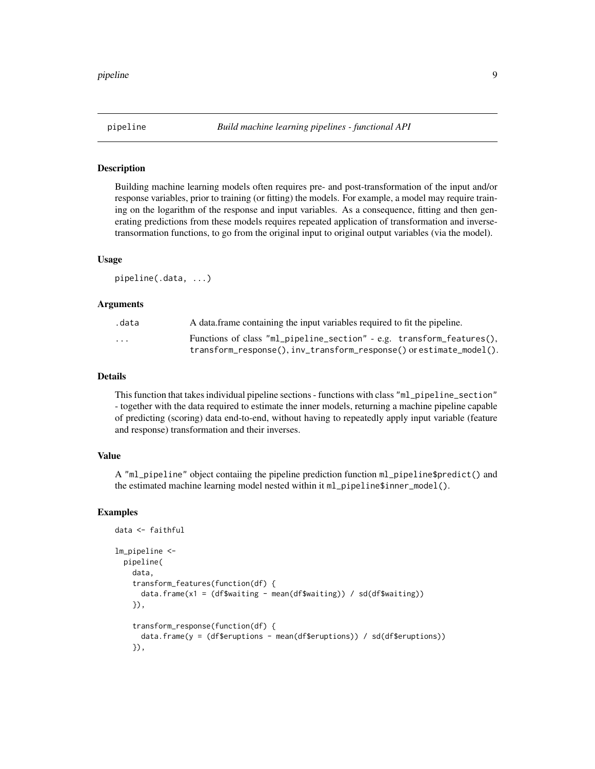<span id="page-8-0"></span>

#### Description

Building machine learning models often requires pre- and post-transformation of the input and/or response variables, prior to training (or fitting) the models. For example, a model may require training on the logarithm of the response and input variables. As a consequence, fitting and then generating predictions from these models requires repeated application of transformation and inversetransormation functions, to go from the original input to original output variables (via the model).

#### Usage

pipeline(.data, ...)

#### Arguments

| .data                   | A data frame containing the input variables required to fit the pipeline. |
|-------------------------|---------------------------------------------------------------------------|
| $\cdot$ $\cdot$ $\cdot$ | Functions of class "ml_pipeline_section" - e.g. transform_features(),     |
|                         | $transform\_response(), inv\_transform\_response()$ or estimate_model().  |

#### Details

This function that takes individual pipeline sections - functions with class "ml\_pipeline\_section" - together with the data required to estimate the inner models, returning a machine pipeline capable of predicting (scoring) data end-to-end, without having to repeatedly apply input variable (feature and response) transformation and their inverses.

#### Value

A "ml\_pipeline" object contaiing the pipeline prediction function ml\_pipeline\$predict() and the estimated machine learning model nested within it ml\_pipeline\$inner\_model().

```
data <- faithful
lm_pipeline <-
 pipeline(
   data,
    transform_features(function(df) {
      data.frame(x1 = (df$waiting - mean(df$waiting)) / sd(df$waiting))
    }),
    transform_response(function(df) {
     data.frame(y = (df$eruptions - mean(df$eruptions)) / sd(df$eruptions))
    }),
```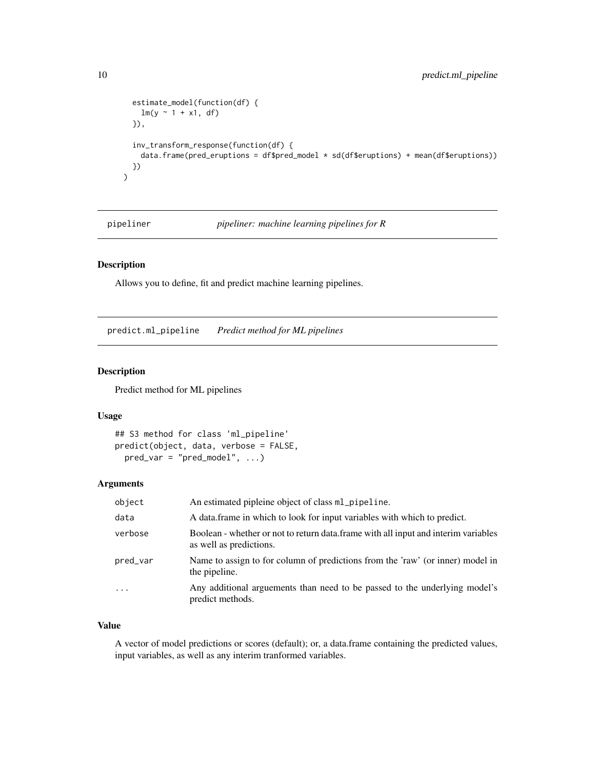```
estimate_model(function(df) {
    lm(y \sim 1 + x1, df)}),
  inv_transform_response(function(df) {
   data.frame(pred_eruptions = df$pred_model * sd(df$eruptions) + mean(df$eruptions))
 })
\mathcal{L}
```
pipeliner *pipeliner: machine learning pipelines for R*

#### Description

Allows you to define, fit and predict machine learning pipelines.

predict.ml\_pipeline *Predict method for ML pipelines*

#### Description

Predict method for ML pipelines

#### Usage

```
## S3 method for class 'ml_pipeline'
predict(object, data, verbose = FALSE,
 pred\_var = "pred\_model", ...)
```
#### Arguments

| object   | An estimated pipleine object of class ml_pipeline.                                                             |
|----------|----------------------------------------------------------------------------------------------------------------|
| data     | A data frame in which to look for input variables with which to predict.                                       |
| verbose  | Boolean - whether or not to return data. frame with all input and interim variables<br>as well as predictions. |
| pred_var | Name to assign to for column of predictions from the 'raw' (or inner) model in<br>the pipeline.                |
| $\cdot$  | Any additional arguements than need to be passed to the underlying model's<br>predict methods.                 |

#### Value

A vector of model predictions or scores (default); or, a data.frame containing the predicted values, input variables, as well as any interim tranformed variables.

<span id="page-9-0"></span>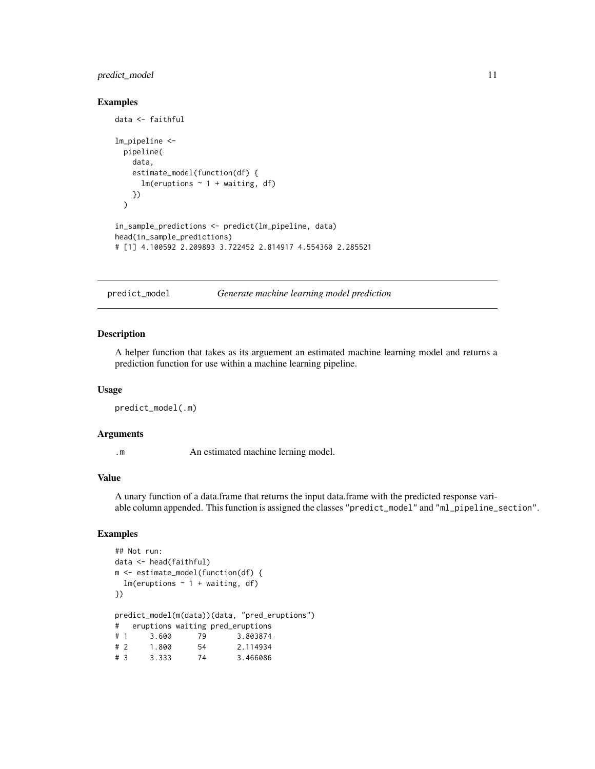#### <span id="page-10-0"></span>predict\_model 11

#### Examples

```
data <- faithful
lm_pipeline <-
 pipeline(
   data,
    estimate_model(function(df) {
      lm(eruptions \sim 1 + waiting, df)
    })
 \lambdain_sample_predictions <- predict(lm_pipeline, data)
head(in_sample_predictions)
# [1] 4.100592 2.209893 3.722452 2.814917 4.554360 2.285521
```
predict\_model *Generate machine learning model prediction*

#### Description

A helper function that takes as its arguement an estimated machine learning model and returns a prediction function for use within a machine learning pipeline.

#### Usage

predict\_model(.m)

#### Arguments

.m An estimated machine lerning model.

#### Value

A unary function of a data.frame that returns the input data.frame with the predicted response variable column appended. This function is assigned the classes "predict\_model" and "ml\_pipeline\_section".

```
## Not run:
data <- head(faithful)
m <- estimate_model(function(df) {
 lm(eruptions \sim 1 + waiting, df)
})
predict_model(m(data))(data, "pred_eruptions")
# eruptions waiting pred_eruptions
# 1 3.600 79 3.803874
# 2 1.800 54 2.114934
# 3 3.333 74 3.466086
```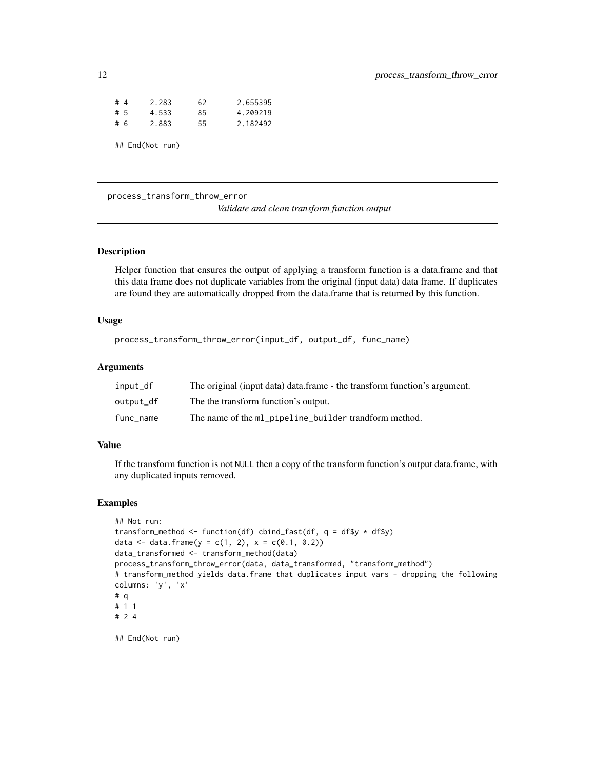| #4              | 2.283 | 62  | 2.655395 |
|-----------------|-------|-----|----------|
| #5              | 4.533 | 85  | 4.209219 |
| #6              | 2.883 | 55. | 2.182492 |
| ## End(Not run) |       |     |          |

process\_transform\_throw\_error

*Validate and clean transform function output*

#### Description

Helper function that ensures the output of applying a transform function is a data.frame and that this data frame does not duplicate variables from the original (input data) data frame. If duplicates are found they are automatically dropped from the data.frame that is returned by this function.

#### Usage

```
process_transform_throw_error(input_df, output_df, func_name)
```
#### Arguments

| input_df  | The original (input data) data.frame - the transform function's argument. |
|-----------|---------------------------------------------------------------------------|
| output_df | The the transform function's output.                                      |
| func_name | The name of the ml_pipeline_builder trandform method.                     |

#### Value

If the transform function is not NULL then a copy of the transform function's output data.frame, with any duplicated inputs removed.

```
## Not run:
transform_method <- function(df) cbind_fast(df, q = df$y * df$y)
data <- data.frame(y = c(1, 2), x = c(0.1, 0.2))
data_transformed <- transform_method(data)
process_transform_throw_error(data, data_transformed, "transform_method")
# transform_method yields data.frame that duplicates input vars - dropping the following
columns: 'y', 'x'
# q
# 1 1
# 2 4
## End(Not run)
```
<span id="page-11-0"></span>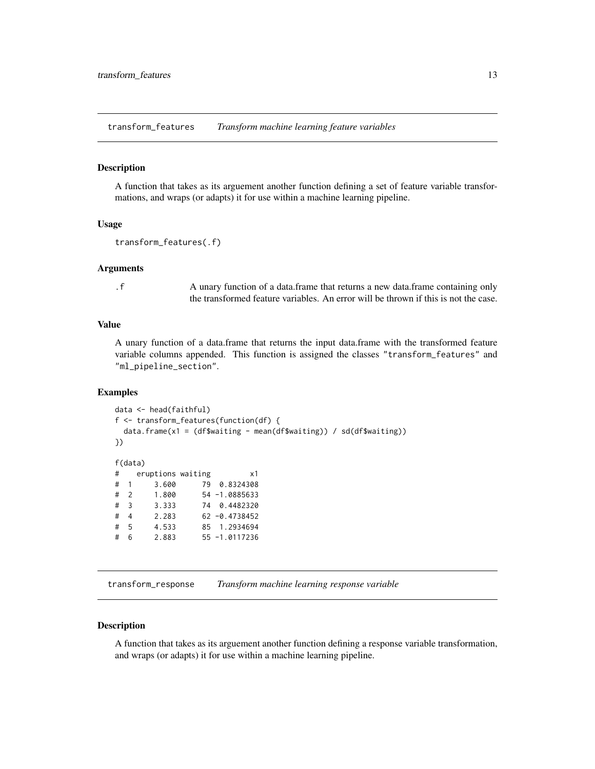<span id="page-12-1"></span><span id="page-12-0"></span>transform\_features *Transform machine learning feature variables*

#### **Description**

A function that takes as its arguement another function defining a set of feature variable transformations, and wraps (or adapts) it for use within a machine learning pipeline.

#### Usage

```
transform_features(.f)
```
#### Arguments

.f A unary function of a data.frame that returns a new data.frame containing only the transformed feature variables. An error will be thrown if this is not the case.

#### Value

A unary function of a data.frame that returns the input data.frame with the transformed feature variable columns appended. This function is assigned the classes "transform\_features" and "ml\_pipeline\_section".

#### Examples

```
data <- head(faithful)
f <- transform_features(function(df) {
 data.frame(x1 = (df$waiting - mean(df$waiting)) / sd(df$waiting))
})
f(data)
# eruptions waiting x1
# 1 3.600 79 0.8324308
# 2 1.800 54 -1.0885633
# 3 3.333 74 0.4482320
# 4 2.283 62 -0.4738452
# 5 4.533 85 1.2934694
# 6 2.883 55 -1.0117236
```
<span id="page-12-2"></span>transform\_response *Transform machine learning response variable*

#### Description

A function that takes as its arguement another function defining a response variable transformation, and wraps (or adapts) it for use within a machine learning pipeline.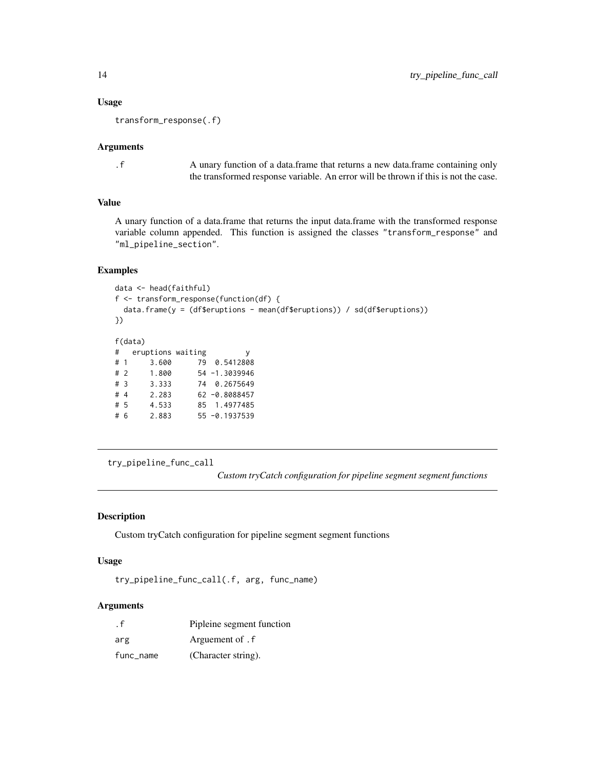#### Usage

transform\_response(.f)

#### Arguments

.f A unary function of a data.frame that returns a new data.frame containing only the transformed response variable. An error will be thrown if this is not the case.

### Value

A unary function of a data.frame that returns the input data.frame with the transformed response variable column appended. This function is assigned the classes "transform\_response" and "ml\_pipeline\_section".

#### Examples

```
data <- head(faithful)
f <- transform_response(function(df) {
 data.frame(y = (df$eruptions - mean(df$eruptions)) / sd(df$eruptions))
})
f(data)
# eruptions waiting y
# 1 3.600 79 0.5412808
# 2 1.800 54 -1.3039946
# 3 3.333 74 0.2675649
# 4 2.283 62 -0.8088457
# 5 4.533 85 1.4977485
# 6 2.883 55 -0.1937539
```
try\_pipeline\_func\_call

*Custom tryCatch configuration for pipeline segment segment functions*

#### Description

Custom tryCatch configuration for pipeline segment segment functions

#### Usage

try\_pipeline\_func\_call(.f, arg, func\_name)

#### Arguments

| $\cdot$ f | Pipleine segment function |
|-----------|---------------------------|
| arg       | Arguement of . f          |
| func_name | (Character string).       |

<span id="page-13-0"></span>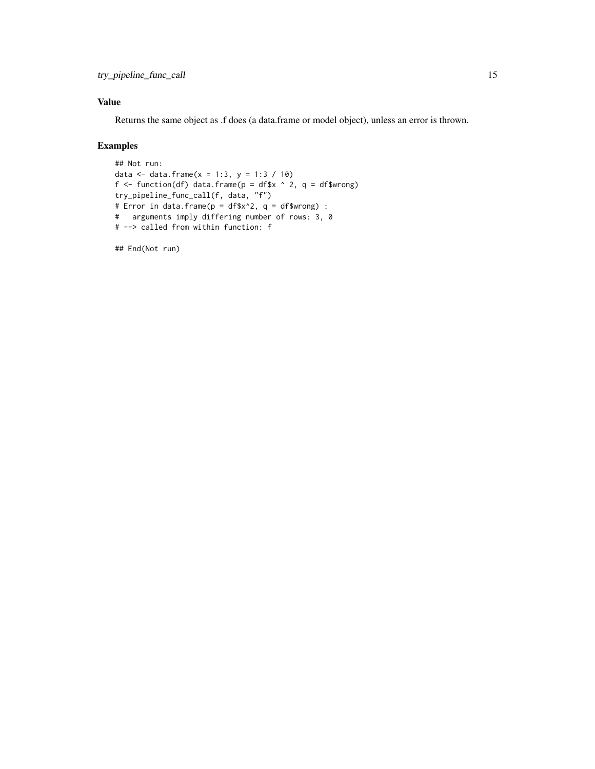#### Value

Returns the same object as .f does (a data.frame or model object), unless an error is thrown.

#### Examples

```
## Not run:
data <- data.frame(x = 1:3, y = 1:3 / 10)
f \le function(df) data.frame(p = df$x ^ 2, q = df$wrong)
try_pipeline_func_call(f, data, "f")
# Error in data.frame(p = df$x^2, q = df$wrong) :
# arguments imply differing number of rows: 3, 0
# --> called from within function: f
```
## End(Not run)